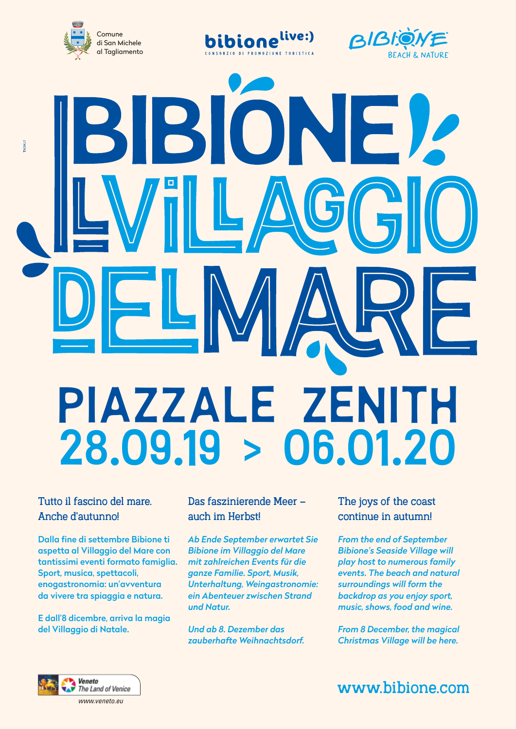





# NE  $\mathbf{S}$ **TKOM.IT PIAZZALE ZENITH<br>28.09.19 > 06.01.20**  $28.09.19 >$

### Tutto il fascino del mare. Anche d'autunno!

Dalla fine di settembre Bibione ti aspetta al Villaggio del Mare con tantissimi eventi formato famiglia. Sport, musica, spettacoli, enogastronomia: un'avventura da vivere tra spiaggia e natura.

E dall'8 dicembre, arriva la magia del Villaggio di Natale.

Das faszinierende Meer – auch im Herbst!

*Ab Ende September erwartet Sie Bibione im Villaggio del Mare mit zahlreichen Events für die ganze Familie. Sport, Musik, Unterhaltung, Weingastronomie: ein Abenteuer zwischen Strand und Natur.* 

*Und ab 8. Dezember das zauberhafte Weihnachtsdorf.*  The joys of the coast continue in autumn!

*From the end of September Bibione's Seaside Village will play host to numerous family events. The beach and natural surroundings will form the backdrop as you enjoy sport, music, shows, food and wine.*

*From 8 December, the magical Christmas Village will be here.*



www.bibione.com